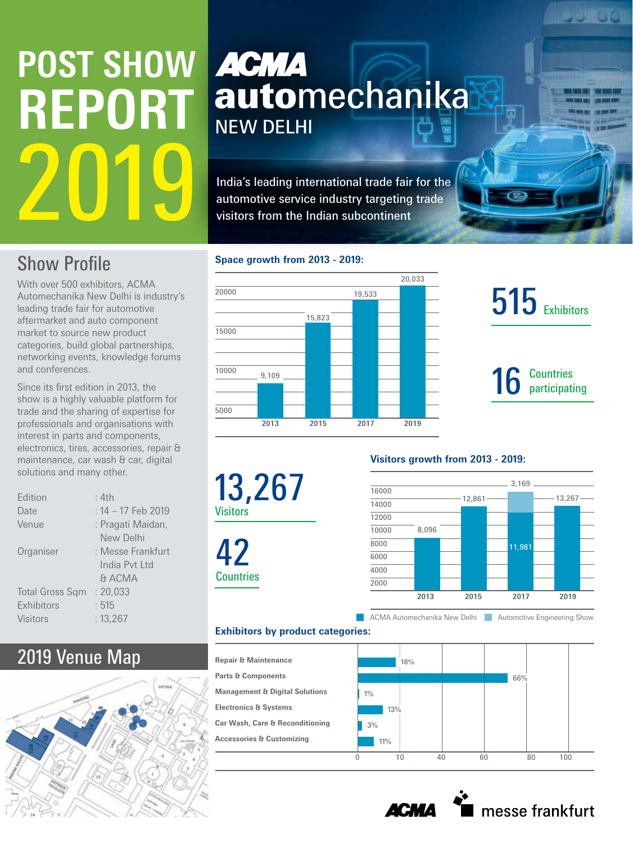# **POST SHOW REPORT** 2019

### **ACMA** automechanika **NEW DELHI**

India's leading international trade fair for the automotive service industry targeting trade visitors from the Indian subcontinent

#### **Show Profile**

With over 500 exhibitors, ACMA Automechanika New Delhi is industry's leading trade fair for automotive aftermarket and auto component market to source new product categories, build global partnerships, networking events, knowledge forums and conferences.

Since its first edition in 2013, the show is a highly valuable platform for trade and the sharing of expertise for professionals and organisations with interest in parts and components, electronics, tires, accessories, repair & maintenance, car wash & car, digital solutions and many other.

| Edition                | : 4th                                                     |
|------------------------|-----------------------------------------------------------|
| Date                   | : 14 - 17 Feb 2019                                        |
| Venue                  | : Pragati Maidan,                                         |
| Organiser              | New Delhi<br>: Messe Frankfurt<br>India Pyt Ltd<br>& ACMA |
| <b>Total Gross Sqm</b> | : 20,033                                                  |
| Exhibitors             | : 515                                                     |
| <b>Visitors</b>        | : 13,267                                                  |

#### 2019 Venue Map



#### **Space growth from 2013 - 2019:**

13,267

Visitors

42

**Countries** 

**Parts & Components**



## **515** Exhibitors

**JEOG** 

## 16 Countries

#### **Visitors growth from 2013 - 2019:**



ACMA Automechanika New Delhi Automotive Engineering Show